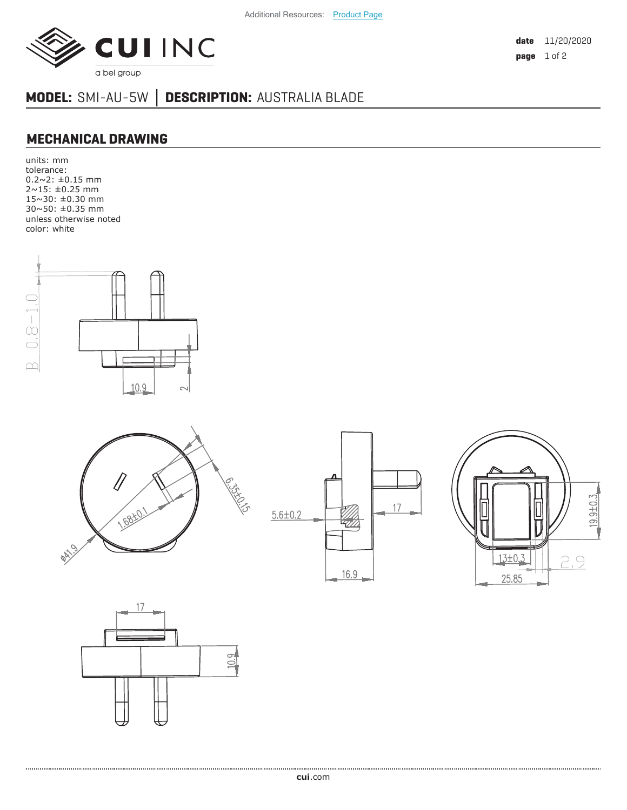

**date** 11/20/2020 **page** 1 of 2

## **MODEL:** SMI-AU-5W **│ DESCRIPTION:** AUSTRALIA BLADE

## **MECHANICAL DRAWING**

units: mm tolerance: 0.2~2: ±0.15 mm 2~15: ±0.25 mm 15~30: ±0.30 mm 30~50: ±0.35 mm unless otherwise noted color: white